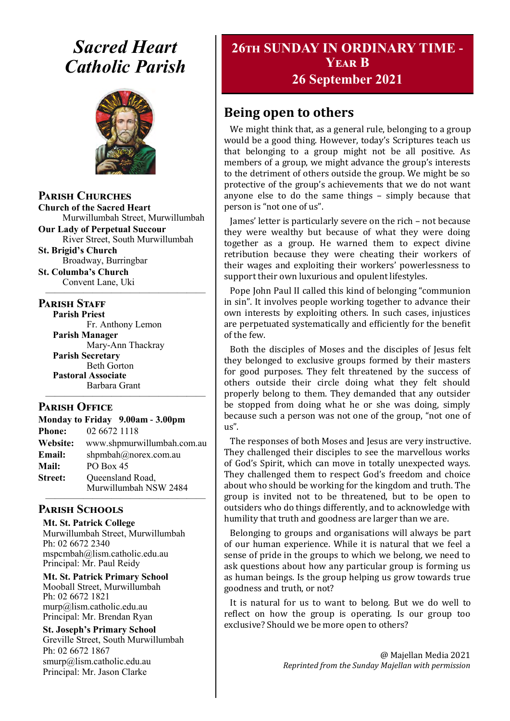# *Sacred Heart Catholic Parish*



**Parish Churches**

**Church of the Sacred Heart** Murwillumbah Street, Murwillumbah

**Our Lady of Perpetual Succour** River Street, South Murwillumbah

**St. Brigid's Church** Broadway, Burringbar

**St. Columba's Church** Convent Lane, Uki —————————————————

# **PARISH STAFF**

**Parish Priest** Fr. Anthony Lemon

**Parish Manager** Mary-Ann Thackray **Parish Secretary** Beth Gorton **Pastoral Associate** Barbara Grant

# **Parish Office**

|                | Monday to Friday 9.00am - 3.00pm          |  |  |
|----------------|-------------------------------------------|--|--|
| <b>Phone:</b>  | 02 6672 1118                              |  |  |
| Website:       | www.shpmurwillumbah.com.au                |  |  |
| Email:         | shpmbah@norex.com.au                      |  |  |
| <b>Mail:</b>   | PO Box 45                                 |  |  |
| <b>Street:</b> | Queensland Road,<br>Murwillumbah NSW 2484 |  |  |

—————————————————

### ————————————————— **Parish Schools**

**Mt. St. Patrick College** Murwillumbah Street, Murwillumbah Ph: 02 6672 2340 mspcmbah@lism.catholic.edu.au Principal: Mr. Paul Reidy

**Mt. St. Patrick Primary School** Mooball Street, Murwillumbah Ph: 02 6672 1821 murp@lism.catholic.edu.au Principal: Mr. Brendan Ryan

**St. Joseph's Primary School** Greville Street, South Murwillumbah Ph: 02 6672 1867 smurp@lism.catholic.edu.au Principal: Mr. Jason Clarke

# **26th SUNDAY IN ORDINARY TIME - Year B**

# **26 September 2021**

# **Being open to others**

We might think that, as a general rule, belonging to a group would be a good thing. However, today's Scriptures teach us that belonging to a group might not be all positive. As members of a group, we might advance the group's interests to the detriment of others outside the group. We might be so protective of the group's achievements that we do not want anyone else to do the same things – simply because that person is "not one of us".

James' letter is particularly severe on the rich – not because they were wealthy but because of what they were doing together as a group. He warned them to expect divine retribution because they were cheating their workers of their wages and exploiting their workers' powerlessness to support their own luxurious and opulent lifestyles.

Pope John Paul II called this kind of belonging "communion in sin". It involves people working together to advance their own interests by exploiting others. In such cases, injustices are perpetuated systematically and efficiently for the benefit of the few.

Both the disciples of Moses and the disciples of Jesus felt they belonged to exclusive groups formed by their masters for good purposes. They felt threatened by the success of others outside their circle doing what they felt should properly belong to them. They demanded that any outsider be stopped from doing what he or she was doing, simply because such a person was not one of the group, "not one of us".

The responses of both Moses and Jesus are very instructive. They challenged their disciples to see the marvellous works of God's Spirit, which can move in totally unexpected ways. They challenged them to respect God's freedom and choice about who should be working for the kingdom and truth. The group is invited not to be threatened, but to be open to outsiders who do things differently, and to acknowledge with humility that truth and goodness are larger than we are.

Belonging to groups and organisations will always be part of our human experience. While it is natural that we feel a sense of pride in the groups to which we belong, we need to ask questions about how any particular group is forming us as human beings. Is the group helping us grow towards true goodness and truth, or not?

It is natural for us to want to belong. But we do well to reflect on how the group is operating. Is our group too exclusive? Should we be more open to others?

> @ Majellan Media 2021 *Reprinted from the Sunday Majellan with permission*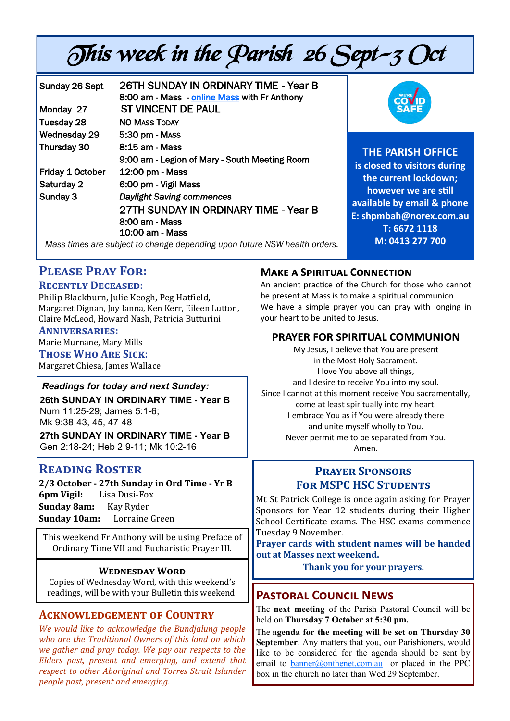# This week in the Parish 26 Sept-3 Oct

| Sunday 26 Sept<br>Monday 27 | 26TH SUNDAY IN ORDINARY TIME - Year B<br>8:00 am - Mass - online Mass with Fr Anthony<br><b>ST VINCENT DE PAUL</b> | <b>SAFE</b>                  |
|-----------------------------|--------------------------------------------------------------------------------------------------------------------|------------------------------|
| Tuesday 28                  | <b>NO MASS TODAY</b>                                                                                               |                              |
| Wednesday 29                | 5:30 pm - MASS                                                                                                     |                              |
| Thursday 30                 | 8:15 am - Mass                                                                                                     | <b>THE PARISH OFFICE</b>     |
|                             | 9:00 am - Legion of Mary - South Meeting Room                                                                      |                              |
| Friday 1 October            | 12:00 pm - Mass                                                                                                    | is closed to visitors during |
| Saturday 2                  | 6:00 pm - Vigil Mass                                                                                               | the current lockdown;        |
| Sunday 3                    | <b>Daylight Saving commences</b>                                                                                   | however we are still         |
|                             | 27TH SUNDAY IN ORDINARY TIME - Year B                                                                              | available by email & phone   |
|                             |                                                                                                                    | E: shpmbah@norex.com.au      |
|                             | 8:00 am - Mass                                                                                                     | T: 6672 1118                 |
|                             | 10:00 am - Mass                                                                                                    | M: 0413 277 700              |
|                             | Mess times are aubinat to shope's depending upon future NOW bookb and we                                           |                              |

*Mass times are subject to change depending upon future NSW health orders.*

# **Please Pray For:**

# **Recently Deceased**:

Philip Blackburn, Julie Keogh, Peg Hatfield**,**  Margaret Dignan, Joy Ianna, Ken Kerr, Eileen Lutton, Claire McLeod, Howard Nash, Patricia Butturini

# **Anniversaries:**

Marie Murnane, Mary Mills

**Those Who Are Sick:**  Margaret Chiesa, James Wallace

# *Readings for today and next Sunday:*

**26th SUNDAY IN ORDINARY TIME - Year B**  Num 11:25-29; James 5:1-6; Mk 9:38-43, 45, 47-48

**27th SUNDAY IN ORDINARY TIME - Year B**  Gen 2:18-24; Heb 2:9-11; Mk 10:2-16

# **Reading Roster**

**2/3 October - 27th Sunday in Ord Time - Yr B 6pm Vigil:** Lisa Dusi-Fox **Sunday 8am:** Kay Ryder **Sunday 10am:** Lorraine Green

This weekend Fr Anthony will be using Preface of Ordinary Time VII and Eucharistic Prayer III.

# **Wednesday Word**

Copies of Wednesday Word, with this weekend's readings, will be with your Bulletin this weekend.

# **Acknowledgement of Country**

*We would like to acknowledge the Bundjalung people who are the Traditional Owners of this land on which we gather and pray today. We pay our respects to the Elders past, present and emerging, and extend that respect to other Aboriginal and Torres Strait Islander people past, present and emerging.* 

# **Make a Spiritual Connection**

An ancient practice of the Church for those who cannot be present at Mass is to make a spiritual communion. We have a simple prayer you can pray with longing in your heart to be united to Jesus.

# **PRAYER FOR SPIRITUAL COMMUNION**

My Jesus, I believe that You are present in the Most Holy Sacrament. I love You above all things, and I desire to receive You into my soul. Since I cannot at this moment receive You sacramentally, come at least spiritually into my heart. I embrace You as if You were already there and unite myself wholly to You. Never permit me to be separated from You. Amen.

# **Prayer Sponsors FOR MSPC HSC STUDENTS**

Mt St Patrick College is once again asking for Prayer Sponsors for Year 12 students during their Higher School Certificate exams. The HSC exams commence Tuesday 9 November.

**Prayer cards with student names will be handed out at Masses next weekend.** 

**Thank you for your prayers.**

# **Pastoral Council News**

The **next meeting** of the Parish Pastoral Council will be held on **Thursday 7 October at 5:30 pm.**

The **agenda for the meeting will be set on Thursday 30 September**. Any matters that you, our Parishioners, would like to be considered for the agenda should be sent by email to [banner@onthenet.com.au](mailto:banner@onthenet.com.au) or placed in the PPC box in the church no later than Wed 29 September.

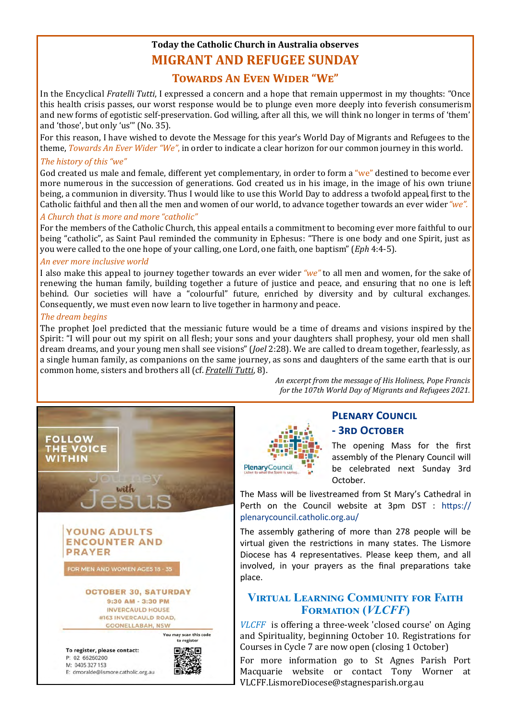# **Today the Catholic Church in Australia observes MIGRANT AND REFUGEE SUNDAY**

# **Towards An Even Wider "We"**

In the Encyclical *Fratelli Tutti*, I expressed a concern and a hope that remain uppermost in my thoughts: "Once this health crisis passes, our worst response would be to plunge even more deeply into feverish consumerism and new forms of egotistic self-preservation. God willing, after all this, we will think no longer in terms of 'them' and 'those', but only 'us'" (No. 35).

For this reason, I have wished to devote the Message for this year's World Day of Migrants and Refugees to the theme, *Towards An Ever Wider "We"*, in order to indicate a clear horizon for our common journey in this world. *The history of this "we"*

God created us male and female, different vet complementary, in order to form a "we" destined to become ever more numerous in the succession of generations. God created us in his image, in the image of his own triune being, a communion in diversity. Thus I would like to use this World Day to address a twofold appeal*,* first to the Catholic faithful and then all the men and women of our world, to advance together towards an ever wider *"we".* 

### *A Church that is more and more "catholic"*

For the members of the Catholic Church, this appeal entails a commitment to becoming ever more faithful to our being "catholic", as Saint Paul reminded the community in Ephesus: "There is one body and one Spirit, just as you were called to the one hope of your calling, one Lord, one faith, one baptism" (*Eph* 4:4-5).

### *An ever more inclusive world*

I also make this appeal to journey together towards an ever wider *"we"* to all men and women, for the sake of renewing the human family, building together a future of justice and peace, and ensuring that no one is left behind. Our societies will have a "colourful" future, enriched by diversity and by cultural exchanges. Consequently, we must even now learn to live together in harmony and peace.

# *The dream begins*

The prophet Joel predicted that the messianic future would be a time of dreams and visions inspired by the Spirit: "I will pour out my spirit on all flesh; your sons and your daughters shall prophesy, your old men shall dream dreams, and your young men shall see visions" (*Joel* 2:28). We are called to dream together, fearlessly, as a single human family, as companions on the same journey, as sons and daughters of the same earth that is our common home, sisters and brothers all (cf. *[Fratelli Tutti](http://www.vatican.va/content/francesco/en/encyclicals/documents/papa-francesco_20201003_enciclica-fratelli-tutti.html#8)*, 8).



*An excerpt from the message of His Holiness, Pope Francis for the 107th World Day of Migrants and Refugees 2021.*



# **Plenary Council - 3rd October**

The opening Mass for the first assembly of the Plenary Council will be celebrated next Sunday 3rd October.

The Mass will be livestreamed from St Mary's Cathedral in Perth on the Council website at 3pm DST : https:// plenarycouncil.catholic.org.au/

The assembly gathering of more than 278 people will be virtual given the restrictions in many states. The Lismore Diocese has 4 representatives. Please keep them, and all involved, in your prayers as the final preparations take place.

# **Virtual Learning Community for Faith Formation (***VLCFF***)**

*VLCFF* is offering a three-week 'closed course' on Aging and Spirituality, beginning October 10. Registrations for Courses in Cycle 7 are now open (closing 1 October)

For more information go to St Agnes Parish Port Macquarie website or contact Tony Worner at [VLCFF.LismoreDiocese@stagnesparish.org.au](mailto:VLCFF.LismoreDiocese@stagnesparish.org.au)